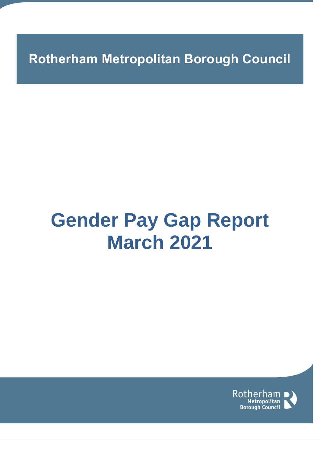**Rotherham Metropolitan Borough Council**

# **Gender Pay Gap Report March 2021**

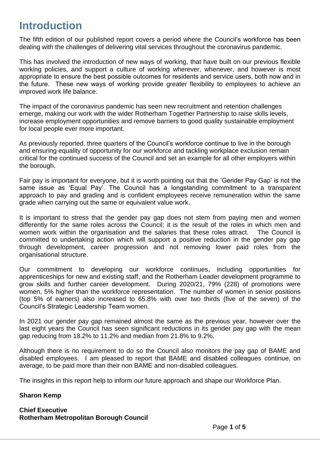## **Introduction**

The fifth edition of our published report covers a period where the Council's workforce has been dealing with the challenges of delivering vital services throughout the coronavirus pandemic.

This has involved the introduction of new ways of working, that have built on our previous flexible working policies, and support a culture of working wherever, whenever, and however is most appropriate to ensure the best possible outcomes for residents and service users, both now and in the future. These new ways of working provide greater flexibility to employees to achieve an improved work life balance.

The impact of the coronavirus pandemic has seen new recruitment and retention challenges emerge, making our work with the wider Rotherham Together Partnership to raise skills levels, increase employment opportunities and remove barriers to good quality sustainable employment for local people ever more important.

As previously reported, three quarters of the Council's workforce continue to live in the borough and ensuring equality of opportunity for our workforce and tackling workplace exclusion remain critical for the continued success of the Council and set an example for all other employers within the borough.

Fair pay is important for everyone, but it is worth pointing out that the 'Gender Pay Gap' is not the same issue as 'Equal Pay'. The Council has a longstanding commitment to a transparent approach to pay and grading and is confident employees receive remuneration within the same grade when carrying out the same or equivalent value work.

It is important to stress that the gender pay gap does not stem from paying men and women differently for the same roles across the Council; it is the result of the roles in which men and women work within the organisation and the salaries that these roles attract. The Council is committed to undertaking action which will support a positive reduction in the gender pay gap through development, career progression and not removing lower paid roles from the organisational structure.

Our commitment to developing our workforce continues, including opportunities for apprenticeships for new and existing staff, and the Rotherham Leader development programme to grow skills and further career development. During 2020/21, 79% (228) of promotions were women, 5% higher than the workforce representation. The number of women in senior positions (top 5% of earners) also increased to 65.8% with over two thirds (five of the seven) of the Council's Strategic Leadership Team women.

In 2021 our gender pay gap remained almost the same as the previous year, however over the last eight years the Council has seen significant reductions in its gender pay gap with the mean gap reducing from 18.2% to 11.2% and median from 21.8% to 9.2%.

Although there is no requirement to do so the Council also monitors the pay gap of BAME and disabled employees. I am pleased to report that BAME and disabled colleagues continue, on average, to be paid more than their non BAME and non-disabled colleagues.

The insights in this report help to inform our future approach and shape our Workforce Plan.

#### **Sharon Kemp**

**Chief Executive Rotherham Metropolitan Borough Council**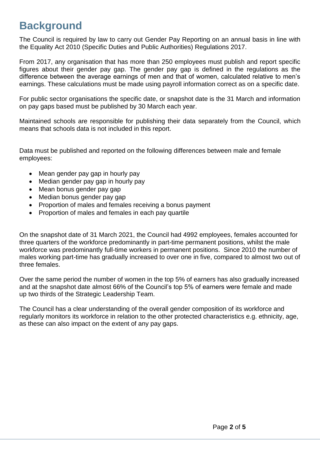## **Background**

The Council is required by law to carry out Gender Pay Reporting on an annual basis in line with the Equality Act 2010 (Specific Duties and Public Authorities) Regulations 2017.

From 2017, any organisation that has more than 250 employees must publish and report specific figures about their gender pay gap. The gender pay gap is defined in the regulations as the difference between the average earnings of men and that of women, calculated relative to men's earnings. These calculations must be made using payroll information correct as on a specific date.

For public sector organisations the specific date, or snapshot date is the 31 March and information on pay gaps based must be published by 30 March each year.

Maintained schools are responsible for publishing their data separately from the Council, which means that schools data is not included in this report.

Data must be published and reported on the following differences between male and female employees:

- Mean gender pay gap in hourly pay
- Median gender pay gap in hourly pay
- Mean bonus gender pay gap
- Median bonus gender pay gap
- Proportion of males and females receiving a bonus payment
- Proportion of males and females in each pay quartile

On the snapshot date of 31 March 2021, the Council had 4992 employees, females accounted for three quarters of the workforce predominantly in part-time permanent positions, whilst the male workforce was predominantly full-time workers in permanent positions. Since 2010 the number of males working part-time has gradually increased to over one in five, compared to almost two out of three females.

Over the same period the number of women in the top 5% of earners has also gradually increased and at the snapshot date almost 66% of the Council's top 5% of earners were female and made up two thirds of the Strategic Leadership Team.

The Council has a clear understanding of the overall gender composition of its workforce and regularly monitors its workforce in relation to the other protected characteristics e.g. ethnicity, age, as these can also impact on the extent of any pay gaps.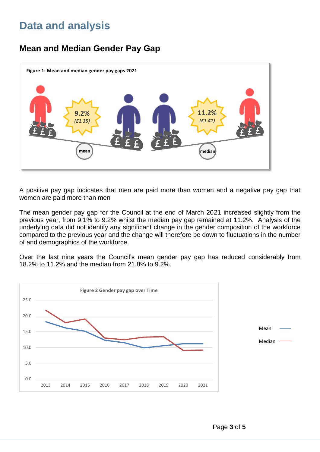## **Data and analysis**

#### **Mean and Median Gender Pay Gap**



A positive pay gap indicates that men are paid more than women and a negative pay gap that women are paid more than men

The mean gender pay gap for the Council at the end of March 2021 increased slightly from the previous year, from 9.1% to 9.2% whilst the median pay gap remained at 11.2%. Analysis of the underlying data did not identify any significant change in the gender composition of the workforce compared to the previous year and the change will therefore be down to fluctuations in the number of and demographics of the workforce.

Over the last nine years the Council's mean gender pay gap has reduced considerably from 18.2% to 11.2% and the median from 21.8% to 9.2%.

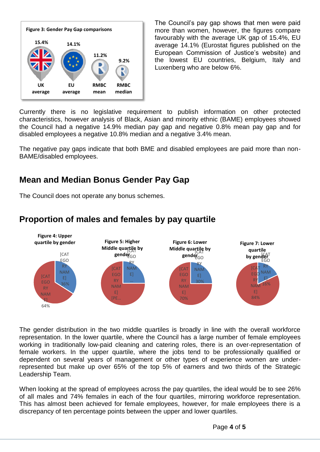

The Council's pay gap shows that men were paid more than women, however, the figures compare favourably with the average UK gap of 15.4%, EU average 14.1% (Eurostat figures published on the European Commission of Justice's website) and the lowest EU countries, Belgium, Italy and Luxenberg who are below 6%.

Currently there is no legislative requirement to publish information on other protected characteristics, however analysis of Black, Asian and minority ethnic (BAME) employees showed the Council had a negative 14.9% median pay gap and negative 0.8% mean pay gap and for disabled employees a negative 10.8% median and a negative 3.4% mean.

The negative pay gaps indicate that both BME and disabled employees are paid more than non-BAME/disabled employees.

#### **Mean and Median Bonus Gender Pay Gap**

The Council does not operate any bonus schemes.

#### **Proportion of males and females by pay quartile**



The gender distribution in the two middle quartiles is broadly in line with the overall workforce representation. In the lower quartile, where the Council has a large number of female employees working in traditionally low-paid cleaning and catering roles, there is an over-representation of female workers. In the upper quartile, where the jobs tend to be professionally qualified or dependent on several years of management or other types of experience women are underrepresented but make up over 65% of the top 5% of earners and two thirds of the Strategic Leadership Team.

When looking at the spread of employees across the pay quartiles, the ideal would be to see 26% of all males and 74% females in each of the four quartiles, mirroring workforce representation. This has almost been achieved for female employees, however, for male employees there is a discrepancy of ten percentage points between the upper and lower quartiles.